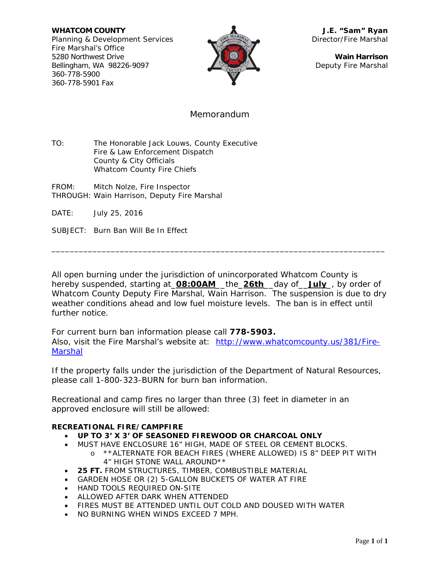**WHATCOM COUNTY J.E. "Sam" Ryan** Planning & Development Services Director/Fire Marshal Fire Marshal's Office 5280 Northwest Drive **Wain Harrison** Bellingham, WA 98226-9097 Deputy Fire Marshal 360-778-5900 360-778-5901 Fax



### Memorandum

TO: The Honorable Jack Louws, County Executive Fire & Law Enforcement Dispatch County & City Officials Whatcom County Fire Chiefs

- FROM: Mitch Nolze, Fire Inspector THROUGH: Wain Harrison, Deputy Fire Marshal
- DATE: July 25, 2016

SUBJECT: Burn Ban Will Be In Effect

All open burning under the jurisdiction of unincorporated Whatcom County is hereby suspended, starting at\_**08:00AM**\_\_the\_**26th**\_\_day of\_\_**July**\_, by order of Whatcom County Deputy Fire Marshal, Wain Harrison. The suspension is due to dry weather conditions ahead and low fuel moisture levels. The ban is in effect until further notice.

\_\_\_\_\_\_\_\_\_\_\_\_\_\_\_\_\_\_\_\_\_\_\_\_\_\_\_\_\_\_\_\_\_\_\_\_\_\_\_\_\_\_\_\_\_\_\_\_\_\_\_\_\_\_\_\_\_\_\_\_\_\_\_\_\_\_\_\_\_\_\_\_\_

For current burn ban information please call **778-5903.** Also, visit the Fire Marshal's website at: [http://www.whatcomcounty.us/381/Fire-](http://www.whatcomcounty.us/381/Fire-Marshal)**[Marshal](http://www.whatcomcounty.us/381/Fire-Marshal)** 

If the property falls under the jurisdiction of the Department of Natural Resources, please call 1-800-323-BURN for burn ban information.

Recreational and camp fires no larger than three (3) feet in diameter in an approved enclosure will still be allowed:

#### **RECREATIONAL FIRE/CAMPFIRE**

### • **UP TO 3' X 3' OF SEASONED FIREWOOD OR CHARCOAL ONLY**

- MUST HAVE ENCLOSURE 16" HIGH, MADE OF STEEL OR CEMENT BLOCKS.
	- o \*\*ALTERNATE FOR BEACH FIRES (WHERE ALLOWED) IS 8" DEEP PIT WITH 4" HIGH STONE WALL AROUND\*\*
- **25 FT.** FROM STRUCTURES, TIMBER, COMBUSTIBLE MATERIAL
- GARDEN HOSE OR (2) 5-GALLON BUCKETS OF WATER AT FIRE
- HAND TOOLS REQUIRED ON-SITE
- ALLOWED AFTER DARK WHEN ATTENDED
- FIRES MUST BE ATTENDED UNTIL OUT COLD AND DOUSED WITH WATER
- NO BURNING WHEN WINDS EXCEED 7 MPH.